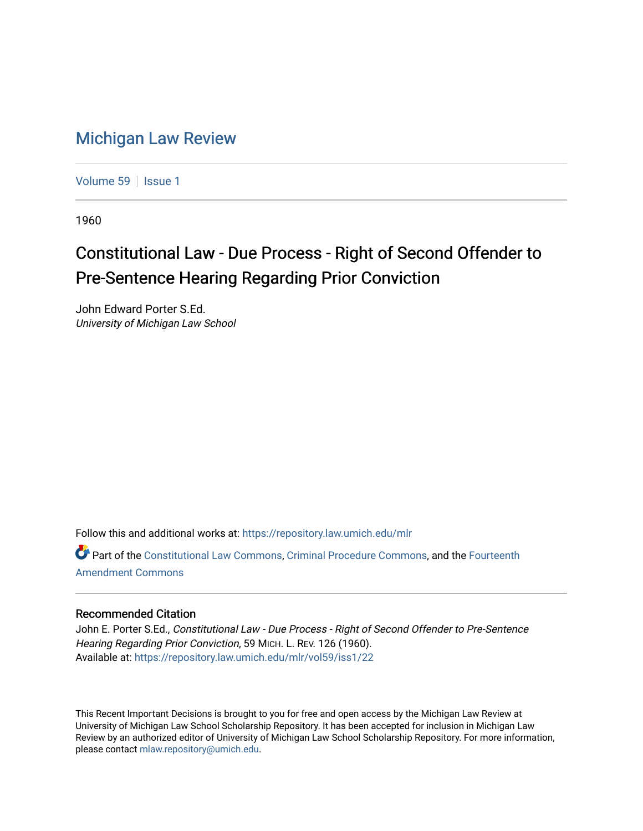## [Michigan Law Review](https://repository.law.umich.edu/mlr)

[Volume 59](https://repository.law.umich.edu/mlr/vol59) | [Issue 1](https://repository.law.umich.edu/mlr/vol59/iss1)

1960

## Constitutional Law - Due Process - Right of Second Offender to Pre-Sentence Hearing Regarding Prior Conviction

John Edward Porter S.Ed. University of Michigan Law School

Follow this and additional works at: [https://repository.law.umich.edu/mlr](https://repository.law.umich.edu/mlr?utm_source=repository.law.umich.edu%2Fmlr%2Fvol59%2Fiss1%2F22&utm_medium=PDF&utm_campaign=PDFCoverPages) 

Part of the [Constitutional Law Commons,](http://network.bepress.com/hgg/discipline/589?utm_source=repository.law.umich.edu%2Fmlr%2Fvol59%2Fiss1%2F22&utm_medium=PDF&utm_campaign=PDFCoverPages) [Criminal Procedure Commons,](http://network.bepress.com/hgg/discipline/1073?utm_source=repository.law.umich.edu%2Fmlr%2Fvol59%2Fiss1%2F22&utm_medium=PDF&utm_campaign=PDFCoverPages) and the [Fourteenth](http://network.bepress.com/hgg/discipline/1116?utm_source=repository.law.umich.edu%2Fmlr%2Fvol59%2Fiss1%2F22&utm_medium=PDF&utm_campaign=PDFCoverPages) [Amendment Commons](http://network.bepress.com/hgg/discipline/1116?utm_source=repository.law.umich.edu%2Fmlr%2Fvol59%2Fiss1%2F22&utm_medium=PDF&utm_campaign=PDFCoverPages)

## Recommended Citation

John E. Porter S.Ed., Constitutional Law - Due Process - Right of Second Offender to Pre-Sentence Hearing Regarding Prior Conviction, 59 MICH. L. REV. 126 (1960). Available at: [https://repository.law.umich.edu/mlr/vol59/iss1/22](https://repository.law.umich.edu/mlr/vol59/iss1/22?utm_source=repository.law.umich.edu%2Fmlr%2Fvol59%2Fiss1%2F22&utm_medium=PDF&utm_campaign=PDFCoverPages) 

This Recent Important Decisions is brought to you for free and open access by the Michigan Law Review at University of Michigan Law School Scholarship Repository. It has been accepted for inclusion in Michigan Law Review by an authorized editor of University of Michigan Law School Scholarship Repository. For more information, please contact [mlaw.repository@umich.edu.](mailto:mlaw.repository@umich.edu)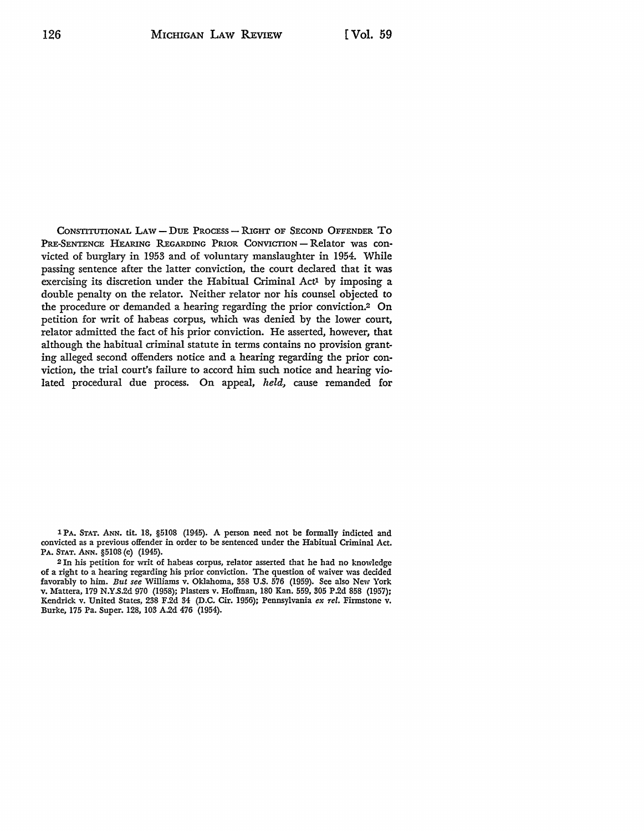CONSTITUTIONAL LAW - DUE PROCESS - RIGHT OF SECOND OFFENDER TO PRE-SENTENCE HEARING REGARDING PRIOR CONVICTION - Relator was convicted of burglary in 1953 and of voluntary manslaughter in 1954. While passing sentence after the latter conviction, the court declared that it was exercising its discretion under the Habitual Criminal Act<sup>1</sup> by imposing a double penalty on the relator. Neither relator nor his counsel objected to the procedure or demanded a hearing regarding the prior conviction.2 On petition for writ of habeas corpus, which was denied by the lower court, relator admitted the fact of his prior conviction. He asserted, however, that although the habitual criminal statute in terms contains no provision granting alleged second offenders notice and a hearing regarding the prior conviction, the trial court's failure to accord him such notice and hearing violated procedural due process. On appeal, *held,* cause remanded for

1 PA. STAT. ANN. tit. 18, §5108 (1945). A person need not be formally indicted and convicted as a previous offender in order to be sentenced under the Habitual Criminal Act. PA. STAT. ANN. §5108 (e) (1945).

<sup>2</sup>In his petition for writ of habeas corpus, relater asserted that he had no knowledge of a right to a hearing regarding his prior conviction. The question of waiver was decided favorably to him. *But see* Williams v. Oklahoma, 358 U.S. 576 (1959). See also New York **v.** Mattera, 179 N.Y.S.2d 970 (1958); Plasters v. Hoffman, 180 Kan. 559, 305 P.2d 858 (1957); Kendrick v. United States, 238 F.2d 34 (D.C. Cir. 1956); Pennsylvania *ex rel.* Firmstone v. Burke, 175 Pa. Super. 128, 103 A.2d 476 (1954).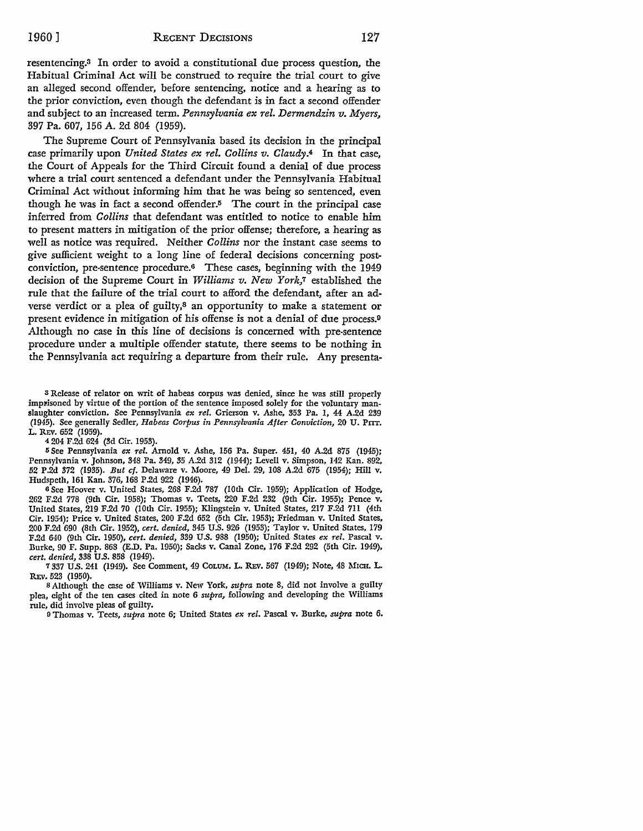resentencing.3 In order to avoid a constitutional due process question, the Habitual Criminal Act will be construed to require the trial court to give an alleged second offender, before sentencing, notice and a hearing as to the prior conviction, even though the defendant is in fact a second offender and subject to an increased term. *Pennsylvania ex rel. Dermendzin v. Myers,*  397 Pa. 607, 156 A. 2d 804 (1959).

The Supreme Court of Pennsylvania based its decision in the principal case primarily upon *United States ex rel. Collins v. Claudy.4* In that case, the Court of Appeals for the Third Circuit found a denial of due process where a trial court sentenced a defendant under the Pennsylvania Habitual Criminal Act without informing him that he was being so sentenced, even though he was in fact a second offender. $5$  The court in the principal case inferred from *Collins* that defendant was entitled to notice to enable him to present matters in mitigation of the prior offense; therefore, a hearing as well as notice was required. Neither *Collins* nor the instant case seems to give sufficient weight to a long line of federal decisions concerning postconviction, pre-sentence procedure.6 These cases, beginning with the 1949 decision of the Supreme Court in *Williams v. New York*,7 established the rule that the failure of the trial court to afford the defendant, after an adverse verdict or a plea of guilty,<sup>8</sup> an opportunity to make a statement or present evidence in mitigation of his offense is not a denial of due process.<sup>9</sup> Although no case in this line of decisions is concerned with pre-sentence procedure under a multiple offender statute, there seems to be nothing in the Pennsylvania act requiring a departure from their rule. Any presenta-

a Release of relater on writ of habeas corpus was denied, since he was still properly imprisoned by virtue of the portion of the sentence imposed solely for the voluntary manslaughter conviction. See Pennsylvania *ex rel.* Grierson v. Ashe, 353 Pa. 1, 44 A.2d 239 (1945). See generally Sedler, *Habeas Corpus in Pennsylvania After Conviction,* 20 U. Prrr. L. REv. 652 (1959).

4 204 F.2d 624 (3d Cir. 1953).

<sup>5</sup> See Pennsylvania ex rel. Arnold v. Ashe, 156 Pa. Super. 451, 40 A.2d 875 (1945); Pennsylvania v. Johnson, 348 Pa. 349, 35 A.2d 312 (1944); Levell v. Simpson, 142 Kan. 892, 52 P.2d 372 (1935). *But cf.* Delaware v. Moore, 49 Del. 29, 108 A.2d 675 (1954); Hill v. Hudspeth, 161 Kan. 376, 168 P.2d 922 (1946).

<sup>6</sup>See Hoover v. United States, 268 F.2d 787 (10th Cir. 1959); Application of Hodge, 262 F.2d 778 (9th Cir. 1958); Thomas v. Teets, 220 F.2d 232 (9th Cir. 1955); Pence v. United States, 219 F.2d 70 (10th Cir. 1955); Klingstein v. United States, 217 F.2d 711 (4th Cir. 1954); Price v. United States, 200 F.2d 652 (5th Cir. 1953); Friedman v. United States, 200 F.2d 690 (8th Cir. 1952), *cert. denied,* 345 U.S. 926 (1953); Taylor v. United States, 179 F.2d 640 (9th Cir. 1950), *cert. denied,* 339 U.S. 988 (1950); United States *ex rel.* Pascal v. Burke, 90 F. Supp. 868 (E.D. Pa. 1950); Sacks v. Canal Zone, 176 F.2d 292 (5th Cir. 1949), *cert. denied,* 338 U.S. 858 (1949).

7 337 U.S. 241 (1949). See Comment, 49 CoLUM. L. REv. 567 (1949); Note, 48 l\frCH. L. REv. 523 (1950).

8 Although the case of Williams v. New York, *supra* note 8, did not involve a guilty plea, eight of the ten cases cited in note 6 *supra,* following and developing the Williams rule, did involve pleas of guilty.

9 Thomas v. Teets, *supra* note 6; United States *ex rel.* Pascal v. Burke, *supra* note 6.